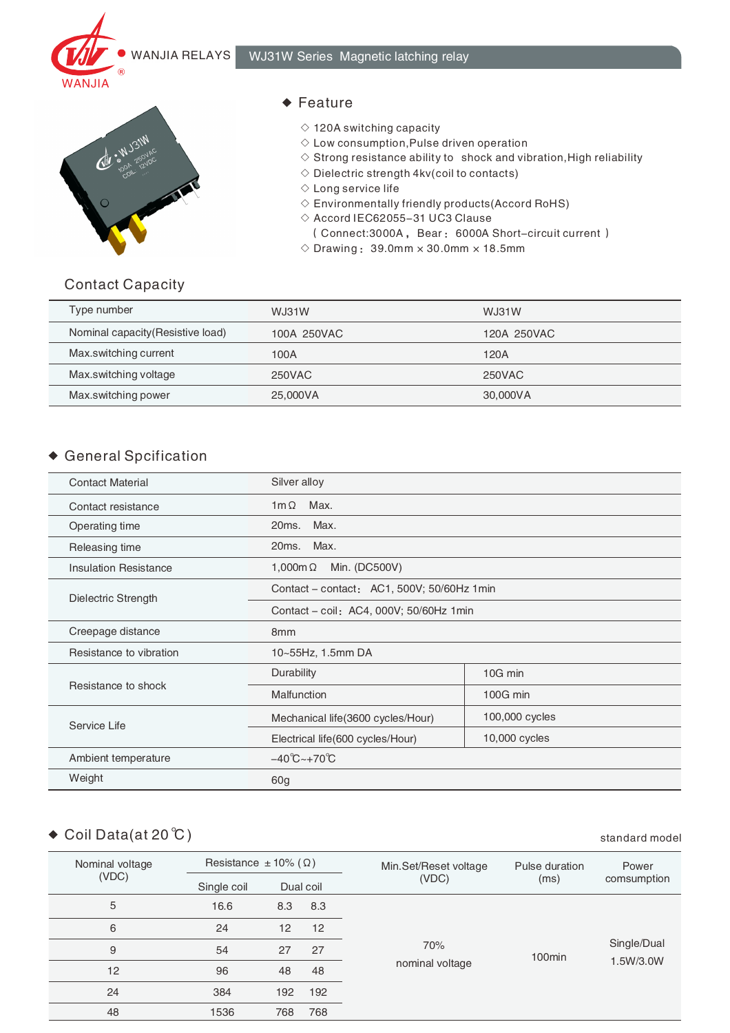



#### ◆ Feature

- $\diamond$  120A switching capacity
- $\diamond$  Low consumption, Pulse driven operation
- $\Diamond$  Strong resistance ability to shock and vibration, High reliability
- $\diamond$  Dielectric strength 4kv(coil to contacts)
- ◇ Long service life
- $\Diamond$  Environmentally friendly products (Accord RoHS)
- $\diamond$  Accord IEC62055-31 UC3 Clause
	- (Connect:3000A, Bear: 6000A Short-circuit current)
- $\Diamond$  Drawing: 39.0mm  $\times$  30.0mm  $\times$  18.5mm

#### Contact Capacity

| Type number                       | WJ31W       | WJ31W       |
|-----------------------------------|-------------|-------------|
| Nominal capacity (Resistive load) | 100A 250VAC | 120A 250VAC |
| Max.switching current             | 100A        | 120A        |
| Max.switching voltage             | 250VAC      | 250VAC      |
| Max.switching power               | 25,000VA    | 30,000VA    |

# General Spcification

| <b>Contact Material</b>      | Silver alloy                               |                |  |
|------------------------------|--------------------------------------------|----------------|--|
| Contact resistance           | $1m\Omega$<br>Max.                         |                |  |
| Operating time               | Max.<br>20ms.                              |                |  |
| Releasing time               | Max.<br>20ms.                              |                |  |
| <b>Insulation Resistance</b> | Min. (DC500V)<br>1,000m $\Omega$           |                |  |
| Dielectric Strength          | Contact – contact: AC1, 500V; 50/60Hz 1min |                |  |
|                              | Contact - coil: AC4, 000V; 50/60Hz 1min    |                |  |
| Creepage distance            | 8 <sub>mm</sub>                            |                |  |
| Resistance to vibration      | 10~55Hz, 1.5mm DA                          |                |  |
|                              | Durability                                 | 10G min        |  |
| Resistance to shock          | Malfunction                                | 100G min       |  |
| Service Life                 | Mechanical life(3600 cycles/Hour)          | 100,000 cycles |  |
|                              | Electrical life(600 cycles/Hour)           | 10,000 cycles  |  |
| Ambient temperature          | $-40^{\circ}C_{\sim}+70^{\circ}C$          |                |  |
| Weight                       | 60 <sub>g</sub>                            |                |  |

# ◆ Coil Data(at 20 ℃) standard model

| Nominal voltage<br>(VDC) | Resistance $\pm$ 10% ( $\Omega$ ) |     |           | Min.Set/Reset voltage | Pulse duration     | Power       |
|--------------------------|-----------------------------------|-----|-----------|-----------------------|--------------------|-------------|
|                          | Single coil                       |     | Dual coil | (VDC)                 | (ms)               | comsumption |
| 5                        | 16.6                              | 8.3 | 8.3       |                       |                    |             |
| 6                        | 24                                | 12  | 12        |                       |                    |             |
| 9                        | 54                                | 27  | 27        | 70%                   | 100 <sub>min</sub> | Single/Dual |
| 12                       | 96                                | 48  | 48        | nominal voltage       |                    | 1.5W/3.0W   |
| 24                       | 384                               | 192 | 192       |                       |                    |             |
| 48                       | 1536                              | 768 | 768       |                       |                    |             |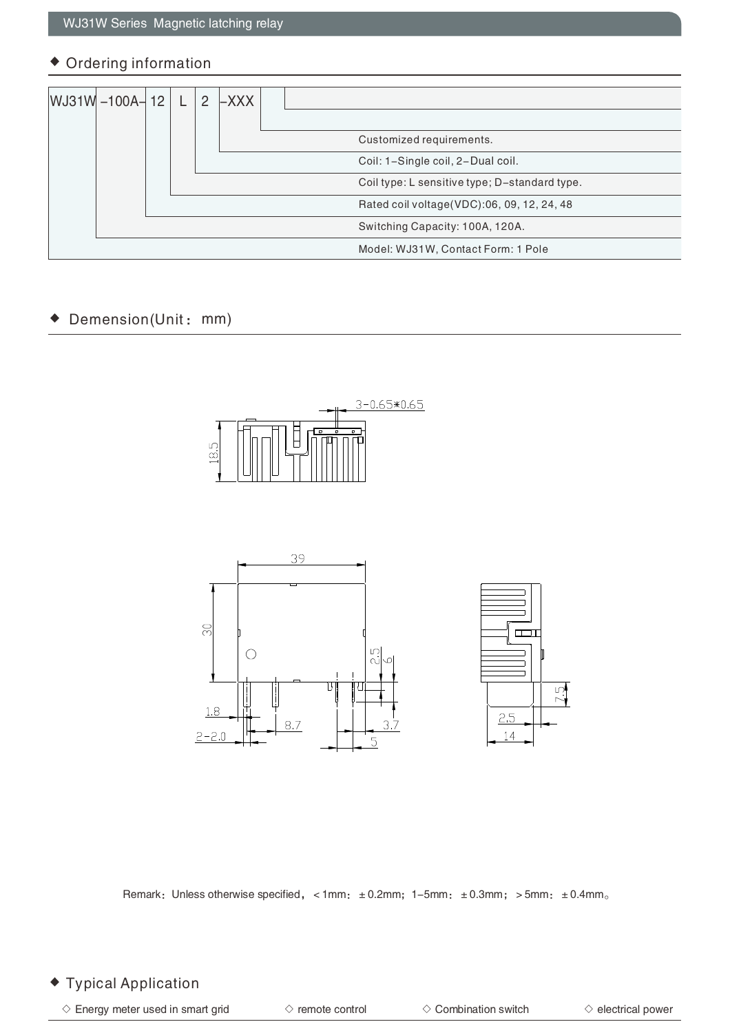## Ordering information

| $WJ31W - 100A - 12$ |  | $\mathcal{P}$ | $-XXX$ |                                               |
|---------------------|--|---------------|--------|-----------------------------------------------|
|                     |  |               |        | Customized requirements.                      |
|                     |  |               |        | Coil: 1-Single coil, 2-Dual coil.             |
|                     |  |               |        | Coil type: L sensitive type; D-standard type. |
|                     |  |               |        | Rated coil voltage (VDC):06, 09, 12, 24, 48   |
|                     |  |               |        | Switching Capacity: 100A, 120A.               |
|                     |  |               |        | Model: WJ31W, Contact Form: 1 Pole            |

#### Demension(Unit: mm)  $\blacklozenge$







Remark: Unless otherwise specified, <1mm: ±0.2mm; 1-5mm: ±0.3mm; >5mm: ±0.4mm。

## Typical Application

 $\Diamond$  Energy meter used in smart grid  $\Diamond$  combination switch  $\Diamond$  electrical power